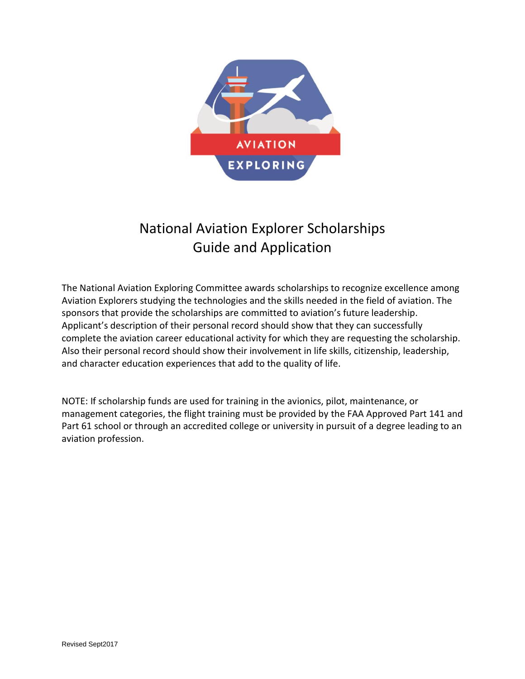

# National Aviation Explorer Scholarships Guide and Application

The National Aviation Exploring Committee awards scholarships to recognize excellence among Aviation Explorers studying the technologies and the skills needed in the field of aviation. The sponsors that provide the scholarships are committed to aviation's future leadership. Applicant's description of their personal record should show that they can successfully complete the aviation career educational activity for which they are requesting the scholarship. Also their personal record should show their involvement in life skills, citizenship, leadership, and character education experiences that add to the quality of life.

NOTE: If scholarship funds are used for training in the avionics, pilot, maintenance, or management categories, the flight training must be provided by the FAA Approved Part 141 and Part 61 school or through an accredited college or university in pursuit of a degree leading to an aviation profession.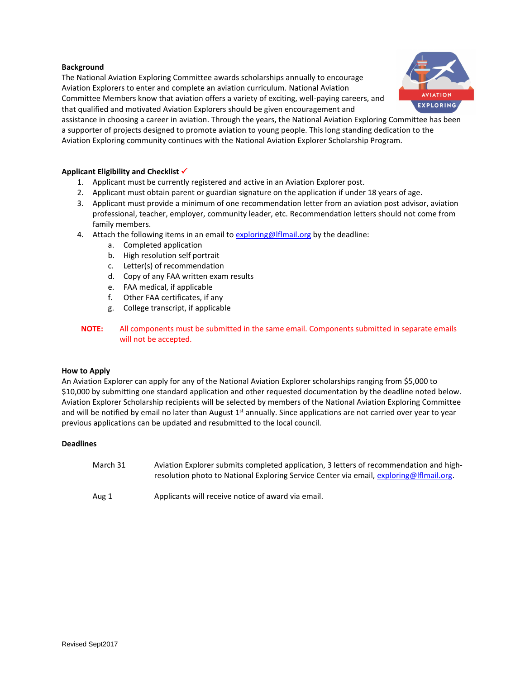#### **Background**

The National Aviation Exploring Committee awards scholarships annually to encourage Aviation Explorers to enter and complete an aviation curriculum. National Aviation Committee Members know that aviation offers a variety of exciting, well-paying careers, and that qualified and motivated Aviation Explorers should be given encouragement and



assistance in choosing a career in aviation. Through the years, the National Aviation Exploring Committee has been a supporter of projects designed to promote aviation to young people. This long standing dedication to the Aviation Exploring community continues with the National Aviation Explorer Scholarship Program.

#### **Applicant Eligibility and Checklist**

- 1. Applicant must be currently registered and active in an Aviation Explorer post.
- 2. Applicant must obtain parent or guardian signature on the application if under 18 years of age.
- 3. Applicant must provide a minimum of one recommendation letter from an aviation post advisor, aviation professional, teacher, employer, community leader, etc. Recommendation letters should not come from family members.
- 4. Attach the following items in an email to [exploring@lflmail.org](mailto:exploring@lflmail.org) by the deadline:
	- a. Completed application
	- b. High resolution self portrait
	- c. Letter(s) of recommendation
	- d. Copy of any FAA written exam results
	- e. FAA medical, if applicable
	- f. Other FAA certificates, if any
	- g. College transcript, if applicable
- **NOTE:** All components must be submitted in the same email. Components submitted in separate emails will not be accepted.

#### **How to Apply**

An Aviation Explorer can apply for any of the National Aviation Explorer scholarships ranging from \$5,000 to \$10,000 by submitting one standard application and other requested documentation by the deadline noted below. Aviation Explorer Scholarship recipients will be selected by members of the National Aviation Exploring Committee and will be notified by email no later than August 1<sup>st</sup> annually. Since applications are not carried over year to year previous applications can be updated and resubmitted to the local council.

#### **Deadlines**

| March 31 | Aviation Explorer submits completed application, 3 letters of recommendation and high-   |
|----------|------------------------------------------------------------------------------------------|
|          | resolution photo to National Exploring Service Center via email, exploring @Iflmail.org. |
|          |                                                                                          |

Aug 1 Applicants will receive notice of award via email.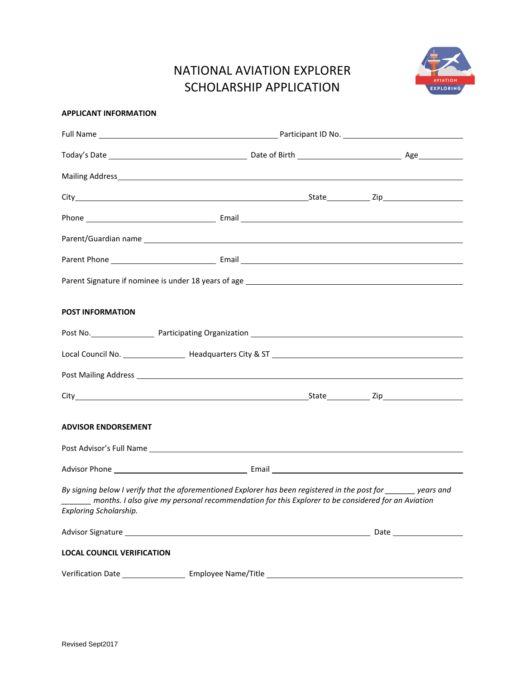## NATIONAL AVIATION EXPLORER SCHOLARSHIP APPLICATION



#### **APPLICANT INFORMATION**

| <b>POST INFORMATION</b>           |                                                                                                                                                                                                                                                                                                                                                                                                                                                         |  |
|-----------------------------------|---------------------------------------------------------------------------------------------------------------------------------------------------------------------------------------------------------------------------------------------------------------------------------------------------------------------------------------------------------------------------------------------------------------------------------------------------------|--|
|                                   |                                                                                                                                                                                                                                                                                                                                                                                                                                                         |  |
|                                   |                                                                                                                                                                                                                                                                                                                                                                                                                                                         |  |
|                                   |                                                                                                                                                                                                                                                                                                                                                                                                                                                         |  |
|                                   |                                                                                                                                                                                                                                                                                                                                                                                                                                                         |  |
| <b>ADVISOR ENDORSEMENT</b>        |                                                                                                                                                                                                                                                                                                                                                                                                                                                         |  |
|                                   |                                                                                                                                                                                                                                                                                                                                                                                                                                                         |  |
|                                   | Advisor Phone <b>Advisor</b> Phone <b>Advisor</b> Phone <b>Advisor</b> Phone <b>Advisor</b> Phone <b>Advisor</b> Phone <b>Advisor</b> Phone <b>Advisor</b> Phone <b>Advisor</b> Phone <b>Advisor</b> Phone <b>Advisor</b> Phone <b>Advisor</b> Phone <b>Advisor</b> Phone <b>Advisor</b> Phone                                                                                                                                                          |  |
|                                   | By signing below I verify that the aforementioned Explorer has been registered in the post for years and<br>_______ months. I also give my personal recommendation for this Explorer to be considered for an Aviation<br>Exploring Scholarship. The contract of the contract of the contract of the contract of the contract of the contract of the contract of the contract of the contract of the contract of the contract of the contract of the con |  |
|                                   |                                                                                                                                                                                                                                                                                                                                                                                                                                                         |  |
| <b>LOCAL COUNCIL VERIFICATION</b> |                                                                                                                                                                                                                                                                                                                                                                                                                                                         |  |
|                                   |                                                                                                                                                                                                                                                                                                                                                                                                                                                         |  |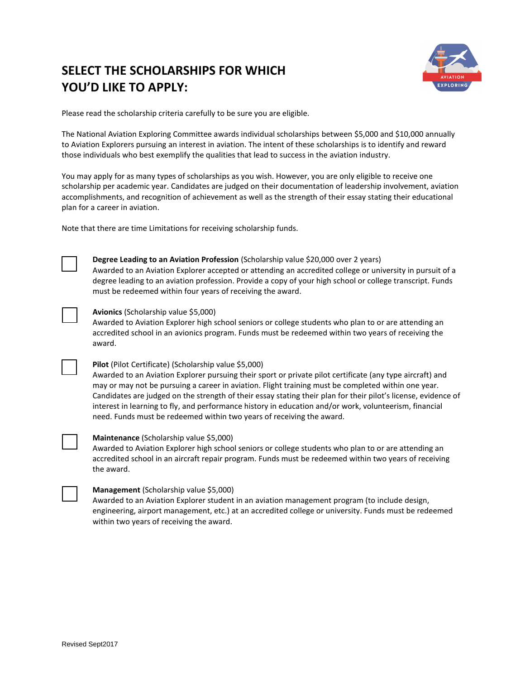## **SELECT THE SCHOLARSHIPS FOR WHICH YOU'D LIKE TO APPLY:**



Please read the scholarship criteria carefully to be sure you are eligible.

The National Aviation Exploring Committee awards individual scholarships between \$5,000 and \$10,000 annually to Aviation Explorers pursuing an interest in aviation. The intent of these scholarships is to identify and reward those individuals who best exemplify the qualities that lead to success in the aviation industry.

You may apply for as many types of scholarships as you wish. However, you are only eligible to receive one scholarship per academic year. Candidates are judged on their documentation of leadership involvement, aviation accomplishments, and recognition of achievement as well as the strength of their essay stating their educational plan for a career in aviation.

Note that there are time Limitations for receiving scholarship funds.



#### **Degree Leading to an Aviation Profession** (Scholarship value \$20,000 over 2 years)

Awarded to an Aviation Explorer accepted or attending an accredited college or university in pursuit of a degree leading to an aviation profession. Provide a copy of your high school or college transcript. Funds must be redeemed within four years of receiving the award.

#### **Avionics** (Scholarship value \$5,000)

Awarded to Aviation Explorer high school seniors or college students who plan to or are attending an accredited school in an avionics program. Funds must be redeemed within two years of receiving the award.



#### **Pilot** (Pilot Certificate) (Scholarship value \$5,000)

Awarded to an Aviation Explorer pursuing their sport or private pilot certificate (any type aircraft) and may or may not be pursuing a career in aviation. Flight training must be completed within one year. Candidates are judged on the strength of their essay stating their plan for their pilot's license, evidence of interest in learning to fly, and performance history in education and/or work, volunteerism, financial need. Funds must be redeemed within two years of receiving the award.



#### **Maintenance** (Scholarship value \$5,000)

Awarded to Aviation Explorer high school seniors or college students who plan to or are attending an accredited school in an aircraft repair program. Funds must be redeemed within two years of receiving the award.

#### **Management** (Scholarship value \$5,000)

Awarded to an Aviation Explorer student in an aviation management program (to include design, engineering, airport management, etc.) at an accredited college or university. Funds must be redeemed within two years of receiving the award.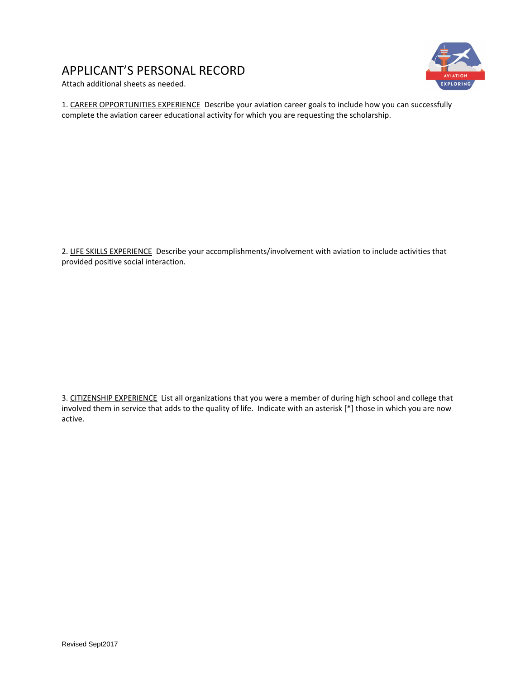## APPLICANT'S PERSONAL RECORD





1. CAREER OPPORTUNITIES EXPERIENCE Describe your aviation career goals to include how you can successfully complete the aviation career educational activity for which you are requesting the scholarship.

2. LIFE SKILLS EXPERIENCE Describe your accomplishments/involvement with aviation to include activities that provided positive social interaction.

3. CITIZENSHIP EXPERIENCE List all organizations that you were a member of during high school and college that involved them in service that adds to the quality of life. Indicate with an asterisk [\*] those in which you are now active.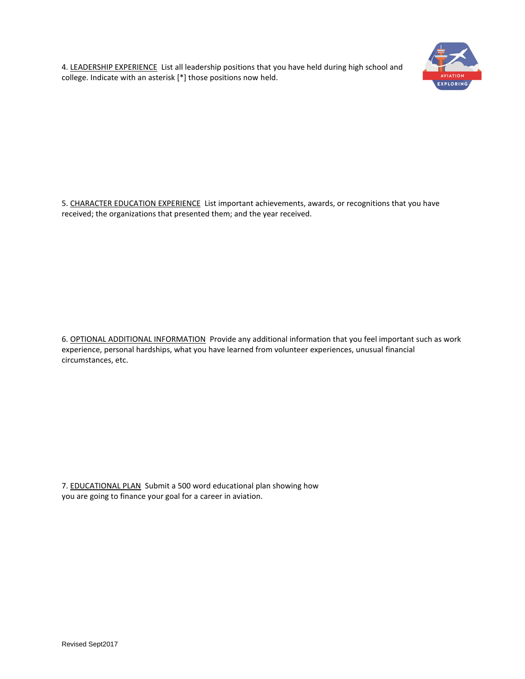4. LEADERSHIP EXPERIENCE List all leadership positions that you have held during high school and college. Indicate with an asterisk [\*] those positions now held.



5. CHARACTER EDUCATION EXPERIENCE List important achievements, awards, or recognitions that you have received; the organizations that presented them; and the year received.

6. OPTIONAL ADDITIONAL INFORMATION Provide any additional information that you feel important such as work experience, personal hardships, what you have learned from volunteer experiences, unusual financial circumstances, etc.

7. EDUCATIONAL PLAN Submit a 500 word educational plan showing how you are going to finance your goal for a career in aviation.